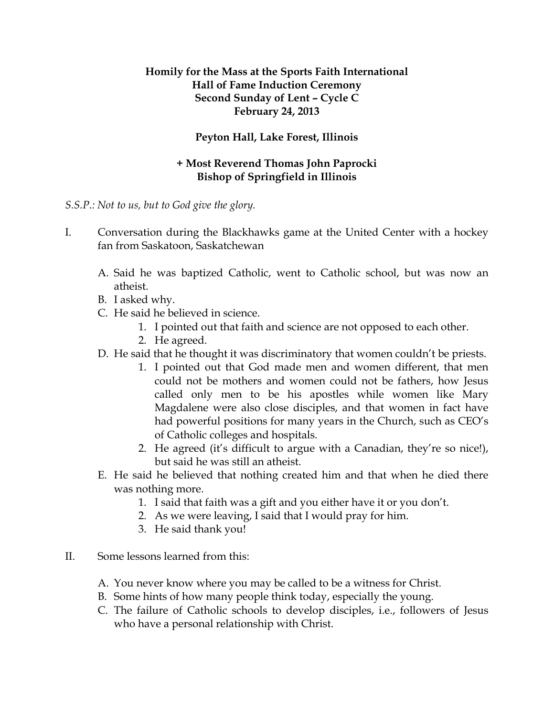## **Homily for the Mass at the Sports Faith International Hall of Fame Induction Ceremony Second Sunday of Lent – Cycle C February 24, 2013**

## **Peyton Hall, Lake Forest, Illinois**

## **+ Most Reverend Thomas John Paprocki Bishop of Springfield in Illinois**

## *S.S.P.: Not to us, but to God give the glory.*

- I. Conversation during the Blackhawks game at the United Center with a hockey fan from Saskatoon, Saskatchewan
	- A. Said he was baptized Catholic, went to Catholic school, but was now an atheist.
	- B. I asked why.
	- C. He said he believed in science.
		- 1. I pointed out that faith and science are not opposed to each other.
		- 2. He agreed.
	- D. He said that he thought it was discriminatory that women couldn't be priests.
		- 1. I pointed out that God made men and women different, that men could not be mothers and women could not be fathers, how Jesus called only men to be his apostles while women like Mary Magdalene were also close disciples, and that women in fact have had powerful positions for many years in the Church, such as CEO's of Catholic colleges and hospitals.
		- 2. He agreed (it's difficult to argue with a Canadian, they're so nice!), but said he was still an atheist.
	- E. He said he believed that nothing created him and that when he died there was nothing more.
		- 1. I said that faith was a gift and you either have it or you don't.
		- 2. As we were leaving, I said that I would pray for him.
		- 3. He said thank you!
- II. Some lessons learned from this:
	- A. You never know where you may be called to be a witness for Christ.
	- B. Some hints of how many people think today, especially the young.
	- C. The failure of Catholic schools to develop disciples, i.e., followers of Jesus who have a personal relationship with Christ.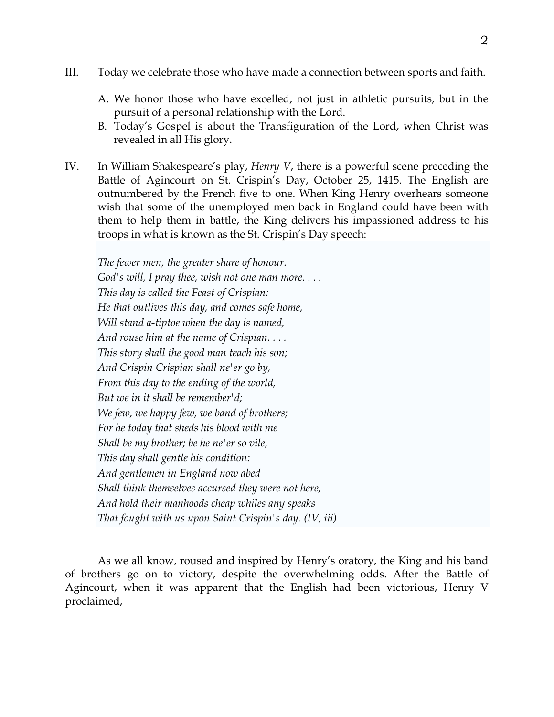- III. Today we celebrate those who have made a connection between sports and faith.
	- A. We honor those who have excelled, not just in athletic pursuits, but in the pursuit of a personal relationship with the Lord.
	- B. Today's Gospel is about the Transfiguration of the Lord, when Christ was revealed in all His glory.
- IV. In William Shakespeare's play, *Henry V*, there is a powerful scene preceding the Battle of Agincourt on St. Crispin's Day, October 25, 1415. The English are outnumbered by the French five to one. When King Henry overhears someone wish that some of the unemployed men back in England could have been with them to help them in battle, the King delivers his impassioned address to his troops in what is known as the St. Crispin's Day speech:

*The fewer men, the greater share of honour. God's will, I pray thee, wish not one man more. . . . This day is called the Feast of Crispian: He that outlives this day, and comes safe home, Will stand a-tiptoe when the day is named, And rouse him at the name of Crispian. . . . This story shall the good man teach his son; And Crispin Crispian shall ne'er go by, From this day to the ending of the world, But we in it shall be remember'd; We few, we happy few, we band of brothers; For he today that sheds his blood with me Shall be my brother; be he ne'er so vile, This day shall gentle his condition: And gentlemen in England now abed Shall think themselves accursed they were not here, And hold their manhoods cheap whiles any speaks That fought with us upon Saint Crispin's day. (IV, iii)* 

As we all know, roused and inspired by Henry's oratory, the King and his band of brothers go on to victory, despite the overwhelming odds. After the Battle of Agincourt, when it was apparent that the English had been victorious, Henry V proclaimed,